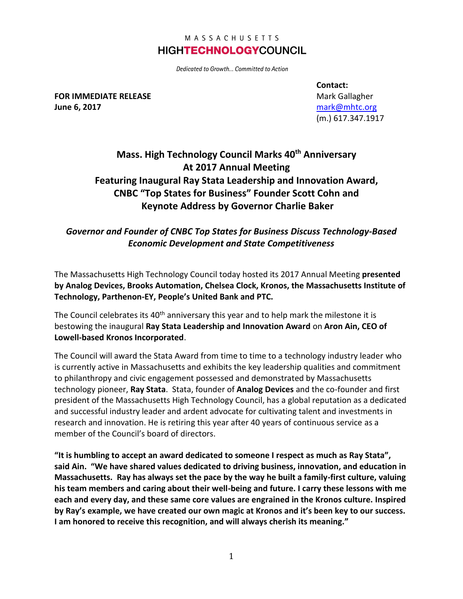### MASSACHUSETTS **HIGHTECHNOLOGYCOUNCIL**

Dedicated to Growth... Committed to Action

**FOR IMMEDIATE RELEASE June 6, 2017**

**Contact:** Mark Gallagher [mark@mhtc.org](mailto:mark@mhtc.org) (m.) 617.347.1917

# **Mass. High Technology Council Marks 40th Anniversary At 2017 Annual Meeting Featuring Inaugural Ray Stata Leadership and Innovation Award, CNBC "Top States for Business" Founder Scott Cohn and Keynote Address by Governor Charlie Baker**

## *Governor and Founder of CNBC Top States for Business Discuss Technology-Based Economic Development and State Competitiveness*

The Massachusetts High Technology Council today hosted its 2017 Annual Meeting **presented by Analog Devices, Brooks Automation, Chelsea Clock, Kronos, the Massachusetts Institute of Technology, Parthenon-EY, People's United Bank and PTC.** 

The Council celebrates its  $40<sup>th</sup>$  anniversary this year and to help mark the milestone it is bestowing the inaugural **Ray Stata Leadership and Innovation Award** on **Aron Ain, CEO of Lowell-based Kronos Incorporated**.

The Council will award the Stata Award from time to time to a technology industry leader who is currently active in Massachusetts and exhibits the key leadership qualities and commitment to philanthropy and civic engagement possessed and demonstrated by Massachusetts technology pioneer, **Ray Stata**. Stata, founder of **Analog Devices** and the co-founder and first president of the Massachusetts High Technology Council, has a global reputation as a dedicated and successful industry leader and ardent advocate for cultivating talent and investments in research and innovation. He is retiring this year after 40 years of continuous service as a member of the Council's board of directors.

**"It is humbling to accept an award dedicated to someone I respect as much as Ray Stata", said Ain. "We have shared values dedicated to driving business, innovation, and education in Massachusetts. Ray has always set the pace by the way he built a family-first culture, valuing his team members and caring about their well-being and future. I carry these lessons with me each and every day, and these same core values are engrained in the Kronos culture. Inspired by Ray's example, we have created our own magic at Kronos and it's been key to our success. I am honored to receive this recognition, and will always cherish its meaning."**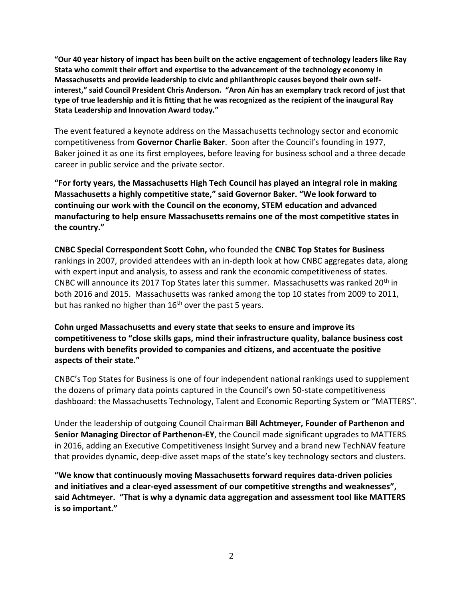**"Our 40 year history of impact has been built on the active engagement of technology leaders like Ray Stata who commit their effort and expertise to the advancement of the technology economy in Massachusetts and provide leadership to civic and philanthropic causes beyond their own selfinterest," said Council President Chris Anderson. "Aron Ain has an exemplary track record of just that type of true leadership and it is fitting that he was recognized as the recipient of the inaugural Ray Stata Leadership and Innovation Award today."**

The event featured a keynote address on the Massachusetts technology sector and economic competitiveness from **Governor Charlie Baker**. Soon after the Council's founding in 1977, Baker joined it as one its first employees, before leaving for business school and a three decade career in public service and the private sector.

**"For forty years, the Massachusetts High Tech Council has played an integral role in making Massachusetts a highly competitive state," said Governor Baker. "We look forward to continuing our work with the Council on the economy, STEM education and advanced manufacturing to help ensure Massachusetts remains one of the most competitive states in the country."**

**CNBC Special Correspondent Scott Cohn,** who founded the **CNBC Top States for Business** rankings in 2007, provided attendees with an in-depth look at how CNBC aggregates data, along with expert input and analysis, to assess and rank the economic competitiveness of states. CNBC will announce its 2017 Top States later this summer. Massachusetts was ranked 20th in both 2016 and 2015. Massachusetts was ranked among the top 10 states from 2009 to 2011, but has ranked no higher than  $16<sup>th</sup>$  over the past 5 years.

**Cohn urged Massachusetts and every state that seeks to ensure and improve its competitiveness to "close skills gaps, mind their infrastructure quality, balance business cost burdens with benefits provided to companies and citizens, and accentuate the positive aspects of their state."** 

CNBC's Top States for Business is one of four independent national rankings used to supplement the dozens of primary data points captured in the Council's own 50-state competitiveness dashboard: the Massachusetts Technology, Talent and Economic Reporting System or "MATTERS".

Under the leadership of outgoing Council Chairman **Bill Achtmeyer, Founder of Parthenon and Senior Managing Director of Parthenon-EY**, the Council made significant upgrades to MATTERS in 2016, adding an Executive Competitiveness Insight Survey and a brand new TechNAV feature that provides dynamic, deep-dive asset maps of the state's key technology sectors and clusters.

**"We know that continuously moving Massachusetts forward requires data-driven policies and initiatives and a clear-eyed assessment of our competitive strengths and weaknesses", said Achtmeyer. "That is why a dynamic data aggregation and assessment tool like MATTERS is so important."**